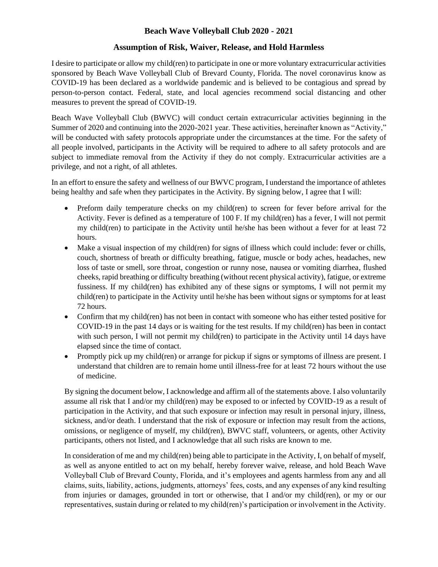## **Beach Wave Volleyball Club 2020 - 2021**

## **Assumption of Risk, Waiver, Release, and Hold Harmless**

I desire to participate or allow my child(ren) to participate in one or more voluntary extracurricular activities sponsored by Beach Wave Volleyball Club of Brevard County, Florida. The novel coronavirus know as COVID-19 has been declared as a worldwide pandemic and is believed to be contagious and spread by person-to-person contact. Federal, state, and local agencies recommend social distancing and other measures to prevent the spread of COVID-19.

Beach Wave Volleyball Club (BWVC) will conduct certain extracurricular activities beginning in the Summer of 2020 and continuing into the 2020-2021 year. These activities, hereinafter known as "Activity," will be conducted with safety protocols appropriate under the circumstances at the time. For the safety of all people involved, participants in the Activity will be required to adhere to all safety protocols and are subject to immediate removal from the Activity if they do not comply. Extracurricular activities are a privilege, and not a right, of all athletes.

In an effort to ensure the safety and wellness of our BWVC program, I understand the importance of athletes being healthy and safe when they participates in the Activity. By signing below, I agree that I will:

- Preform daily temperature checks on my child(ren) to screen for fever before arrival for the Activity. Fever is defined as a temperature of 100 F. If my child(ren) has a fever, I will not permit my child(ren) to participate in the Activity until he/she has been without a fever for at least 72 hours.
- Make a visual inspection of my child(ren) for signs of illness which could include: fever or chills, couch, shortness of breath or difficulty breathing, fatigue, muscle or body aches, headaches, new loss of taste or smell, sore throat, congestion or runny nose, nausea or vomiting diarrhea, flushed cheeks, rapid breathing or difficulty breathing (without recent physical activity), fatigue, or extreme fussiness. If my child(ren) has exhibited any of these signs or symptoms, I will not permit my child(ren) to participate in the Activity until he/she has been without signs or symptoms for at least 72 hours.
- Confirm that my child(ren) has not been in contact with someone who has either tested positive for COVID-19 in the past 14 days or is waiting for the test results. If my child(ren) has been in contact with such person, I will not permit my child(ren) to participate in the Activity until 14 days have elapsed since the time of contact.
- Promptly pick up my child(ren) or arrange for pickup if signs or symptoms of illness are present. I understand that children are to remain home until illness-free for at least 72 hours without the use of medicine.

By signing the document below, I acknowledge and affirm all of the statements above. I also voluntarily assume all risk that I and/or my child(ren) may be exposed to or infected by COVID-19 as a result of participation in the Activity, and that such exposure or infection may result in personal injury, illness, sickness, and/or death. I understand that the risk of exposure or infection may result from the actions, omissions, or negligence of myself, my child(ren), BWVC staff, volunteers, or agents, other Activity participants, others not listed, and I acknowledge that all such risks are known to me.

In consideration of me and my child(ren) being able to participate in the Activity, I, on behalf of myself, as well as anyone entitled to act on my behalf, hereby forever waive, release, and hold Beach Wave Volleyball Club of Brevard County, Florida, and it's employees and agents harmless from any and all claims, suits, liability, actions, judgments, attorneys' fees, costs, and any expenses of any kind resulting from injuries or damages, grounded in tort or otherwise, that I and/or my child(ren), or my or our representatives, sustain during or related to my child(ren)'s participation or involvement in the Activity.